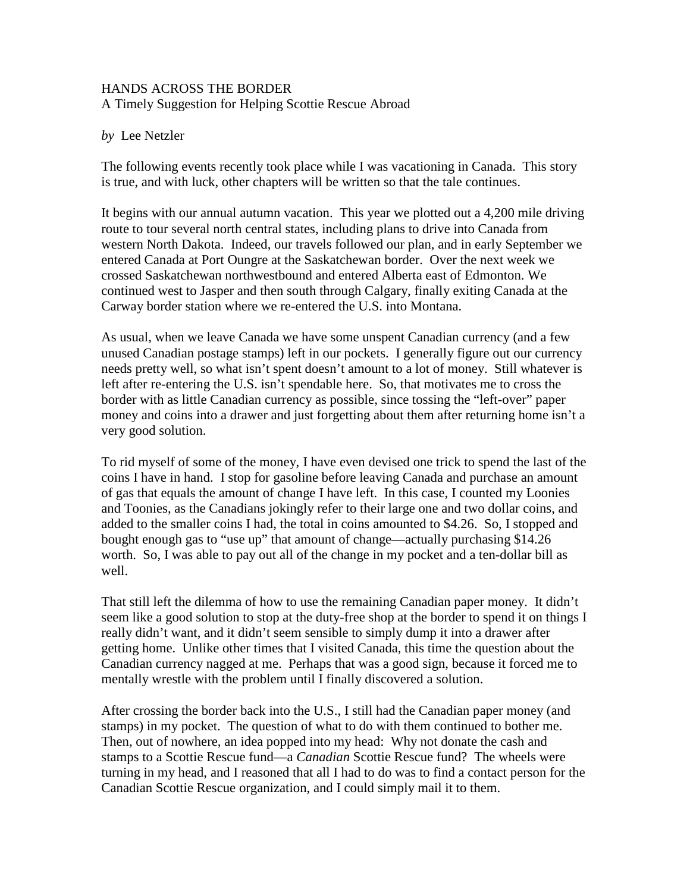## HANDS ACROSS THE BORDER A Timely Suggestion for Helping Scottie Rescue Abroad

## *by* Lee Netzler

The following events recently took place while I was vacationing in Canada. This story is true, and with luck, other chapters will be written so that the tale continues.

It begins with our annual autumn vacation. This year we plotted out a 4,200 mile driving route to tour several north central states, including plans to drive into Canada from western North Dakota. Indeed, our travels followed our plan, and in early September we entered Canada at Port Oungre at the Saskatchewan border. Over the next week we crossed Saskatchewan northwestbound and entered Alberta east of Edmonton. We continued west to Jasper and then south through Calgary, finally exiting Canada at the Carway border station where we re-entered the U.S. into Montana.

As usual, when we leave Canada we have some unspent Canadian currency (and a few unused Canadian postage stamps) left in our pockets. I generally figure out our currency needs pretty well, so what isn't spent doesn't amount to a lot of money. Still whatever is left after re-entering the U.S. isn't spendable here. So, that motivates me to cross the border with as little Canadian currency as possible, since tossing the "left-over" paper money and coins into a drawer and just forgetting about them after returning home isn't a very good solution.

To rid myself of some of the money, I have even devised one trick to spend the last of the coins I have in hand. I stop for gasoline before leaving Canada and purchase an amount of gas that equals the amount of change I have left. In this case, I counted my Loonies and Toonies, as the Canadians jokingly refer to their large one and two dollar coins, and added to the smaller coins I had, the total in coins amounted to \$4.26. So, I stopped and bought enough gas to "use up" that amount of change—actually purchasing \$14.26 worth. So, I was able to pay out all of the change in my pocket and a ten-dollar bill as well.

That still left the dilemma of how to use the remaining Canadian paper money. It didn't seem like a good solution to stop at the duty-free shop at the border to spend it on things I really didn't want, and it didn't seem sensible to simply dump it into a drawer after getting home. Unlike other times that I visited Canada, this time the question about the Canadian currency nagged at me. Perhaps that was a good sign, because it forced me to mentally wrestle with the problem until I finally discovered a solution.

After crossing the border back into the U.S., I still had the Canadian paper money (and stamps) in my pocket. The question of what to do with them continued to bother me. Then, out of nowhere, an idea popped into my head: Why not donate the cash and stamps to a Scottie Rescue fund—a *Canadian* Scottie Rescue fund? The wheels were turning in my head, and I reasoned that all I had to do was to find a contact person for the Canadian Scottie Rescue organization, and I could simply mail it to them.